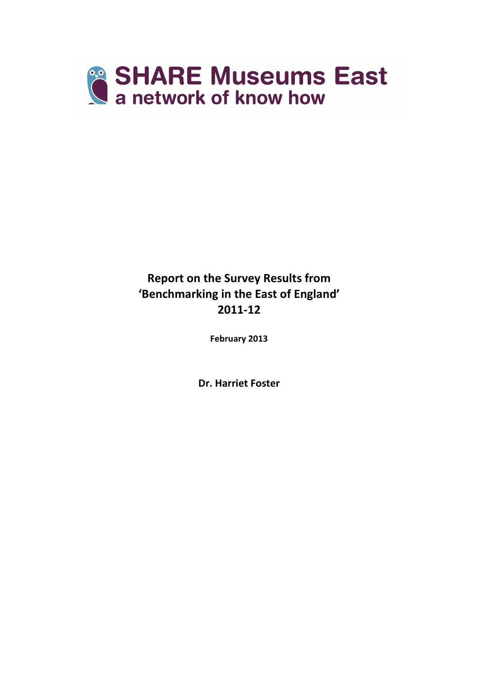

Report on the Survey Results from 'Benchmarking in the East of England' 2011-12

February 2013

Dr. Harriet Foster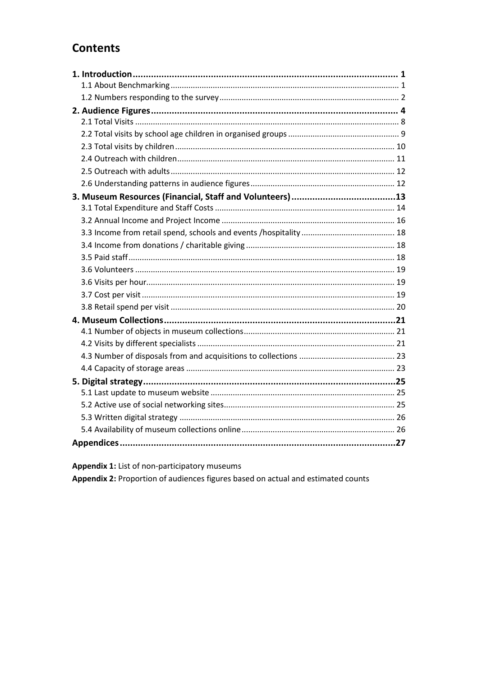# **Contents**

Appendix 1: List of non-participatory museums

Appendix 2: Proportion of audiences figures based on actual and estimated counts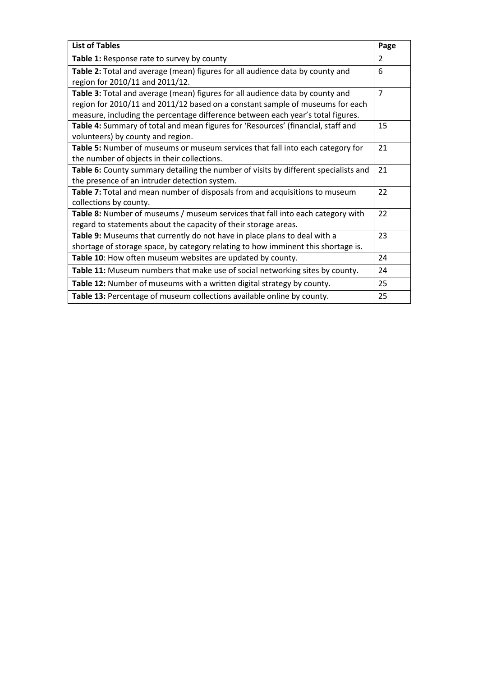| <b>List of Tables</b>                                                                                                                                                                                                                             | Page           |
|---------------------------------------------------------------------------------------------------------------------------------------------------------------------------------------------------------------------------------------------------|----------------|
| Table 1: Response rate to survey by county                                                                                                                                                                                                        | $\overline{2}$ |
| Table 2: Total and average (mean) figures for all audience data by county and<br>region for 2010/11 and 2011/12.                                                                                                                                  | 6              |
| Table 3: Total and average (mean) figures for all audience data by county and<br>region for 2010/11 and 2011/12 based on a constant sample of museums for each<br>measure, including the percentage difference between each year's total figures. | $\overline{7}$ |
| Table 4: Summary of total and mean figures for 'Resources' (financial, staff and<br>volunteers) by county and region.                                                                                                                             | 15             |
| Table 5: Number of museums or museum services that fall into each category for<br>the number of objects in their collections.                                                                                                                     | 21             |
| Table 6: County summary detailing the number of visits by different specialists and<br>the presence of an intruder detection system.                                                                                                              | 21             |
| Table 7: Total and mean number of disposals from and acquisitions to museum<br>collections by county.                                                                                                                                             | 22             |
| Table 8: Number of museums / museum services that fall into each category with<br>regard to statements about the capacity of their storage areas.                                                                                                 | 22             |
| Table 9: Museums that currently do not have in place plans to deal with a<br>shortage of storage space, by category relating to how imminent this shortage is.                                                                                    | 23             |
| Table 10: How often museum websites are updated by county.                                                                                                                                                                                        | 24             |
| Table 11: Museum numbers that make use of social networking sites by county.                                                                                                                                                                      | 24             |
| Table 12: Number of museums with a written digital strategy by county.                                                                                                                                                                            | 25             |
| Table 13: Percentage of museum collections available online by county.                                                                                                                                                                            | 25             |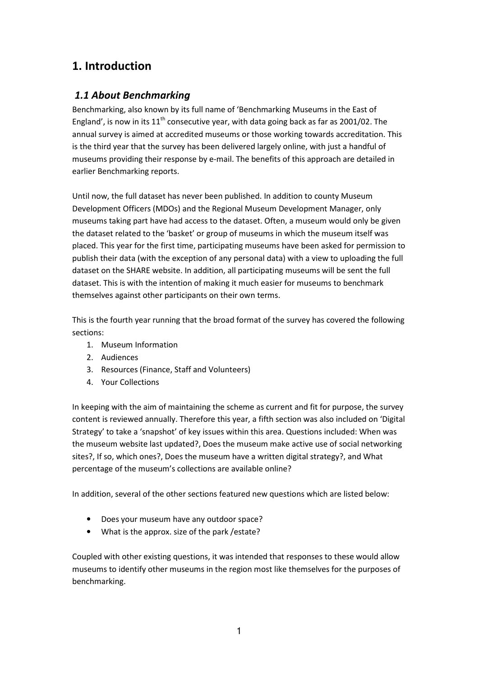# 1. Introduction

## 1.1 About Benchmarking

Benchmarking, also known by its full name of 'Benchmarking Museums in the East of England', is now in its  $11<sup>th</sup>$  consecutive year, with data going back as far as 2001/02. The annual survey is aimed at accredited museums or those working towards accreditation. This is the third year that the survey has been delivered largely online, with just a handful of museums providing their response by e-mail. The benefits of this approach are detailed in earlier Benchmarking reports.

Until now, the full dataset has never been published. In addition to county Museum Development Officers (MDOs) and the Regional Museum Development Manager, only museums taking part have had access to the dataset. Often, a museum would only be given the dataset related to the 'basket' or group of museums in which the museum itself was placed. This year for the first time, participating museums have been asked for permission to publish their data (with the exception of any personal data) with a view to uploading the full dataset on the SHARE website. In addition, all participating museums will be sent the full dataset. This is with the intention of making it much easier for museums to benchmark themselves against other participants on their own terms.

This is the fourth year running that the broad format of the survey has covered the following sections:

- 1. Museum Information
- 2. Audiences
- 3. Resources (Finance, Staff and Volunteers)
- 4. Your Collections

In keeping with the aim of maintaining the scheme as current and fit for purpose, the survey content is reviewed annually. Therefore this year, a fifth section was also included on 'Digital Strategy' to take a 'snapshot' of key issues within this area. Questions included: When was the museum website last updated?, Does the museum make active use of social networking sites?, If so, which ones?, Does the museum have a written digital strategy?, and What percentage of the museum's collections are available online?

In addition, several of the other sections featured new questions which are listed below:

- Does your museum have any outdoor space?
- What is the approx. size of the park /estate?

Coupled with other existing questions, it was intended that responses to these would allow museums to identify other museums in the region most like themselves for the purposes of benchmarking.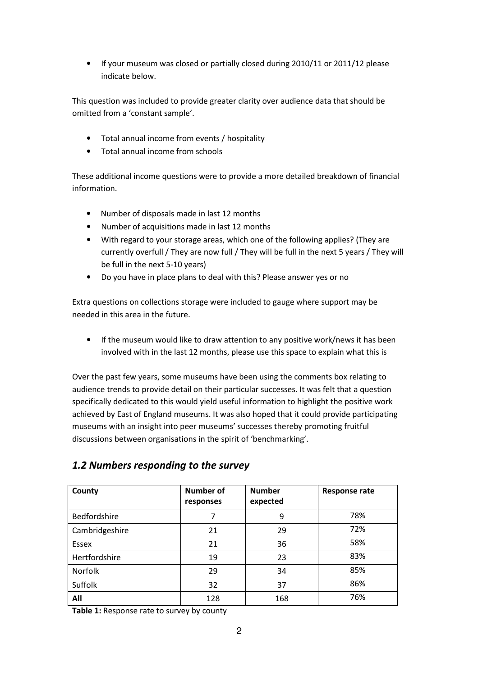• If your museum was closed or partially closed during 2010/11 or 2011/12 please indicate below.

This question was included to provide greater clarity over audience data that should be omitted from a 'constant sample'.

- Total annual income from events / hospitality
- Total annual income from schools

These additional income questions were to provide a more detailed breakdown of financial information.

- Number of disposals made in last 12 months
- Number of acquisitions made in last 12 months
- With regard to your storage areas, which one of the following applies? (They are currently overfull / They are now full / They will be full in the next 5 years / They will be full in the next 5-10 years)
- Do you have in place plans to deal with this? Please answer yes or no

Extra questions on collections storage were included to gauge where support may be needed in this area in the future.

If the museum would like to draw attention to any positive work/news it has been involved with in the last 12 months, please use this space to explain what this is

Over the past few years, some museums have been using the comments box relating to audience trends to provide detail on their particular successes. It was felt that a question specifically dedicated to this would yield useful information to highlight the positive work achieved by East of England museums. It was also hoped that it could provide participating museums with an insight into peer museums' successes thereby promoting fruitful discussions between organisations in the spirit of 'benchmarking'.

| County         | Number of<br>responses | <b>Number</b><br>expected | <b>Response rate</b> |
|----------------|------------------------|---------------------------|----------------------|
| Bedfordshire   | 7                      | 9                         | 78%                  |
| Cambridgeshire | 21                     | 29                        | 72%                  |
| Essex          | 21                     | 36                        | 58%                  |
| Hertfordshire  | 19                     | 23                        | 83%                  |
| Norfolk        | 29                     | 34                        | 85%                  |
| Suffolk        | 32                     | 37                        | 86%                  |
| All            | 128                    | 168                       | 76%                  |

## 1.2 Numbers responding to the survey

Table 1: Response rate to survey by county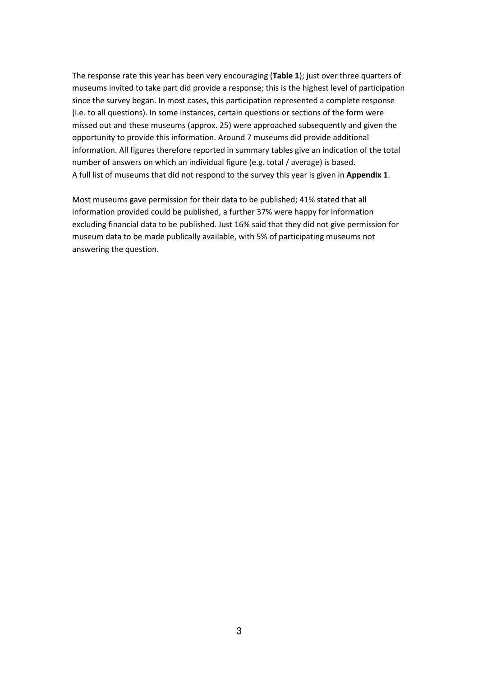The response rate this year has been very encouraging (Table 1); just over three quarters of museums invited to take part did provide a response; this is the highest level of participation since the survey began. In most cases, this participation represented a complete response (i.e. to all questions). In some instances, certain questions or sections of the form were missed out and these museums (approx. 25) were approached subsequently and given the opportunity to provide this information. Around 7 museums did provide additional information. All figures therefore reported in summary tables give an indication of the total number of answers on which an individual figure (e.g. total / average) is based. A full list of museums that did not respond to the survey this year is given in Appendix 1.

Most museums gave permission for their data to be published; 41% stated that all information provided could be published, a further 37% were happy for information excluding financial data to be published. Just 16% said that they did not give permission for museum data to be made publically available, with 5% of participating museums not answering the question.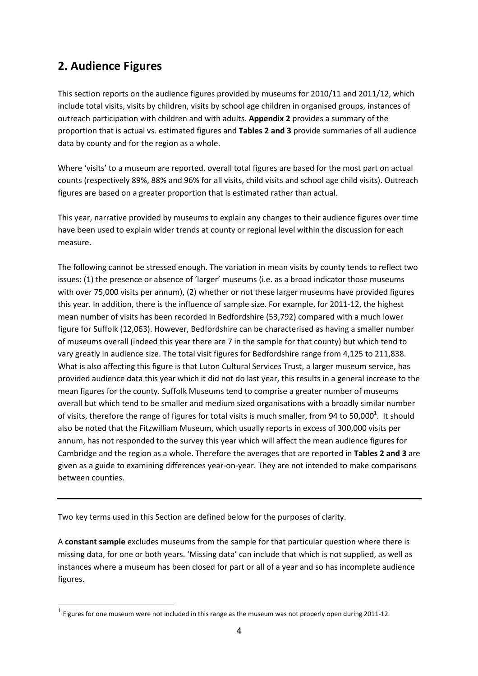# 2. Audience Figures

 $\overline{\phantom{0}}$ 

This section reports on the audience figures provided by museums for 2010/11 and 2011/12, which include total visits, visits by children, visits by school age children in organised groups, instances of outreach participation with children and with adults. Appendix 2 provides a summary of the proportion that is actual vs. estimated figures and Tables 2 and 3 provide summaries of all audience data by county and for the region as a whole.

Where 'visits' to a museum are reported, overall total figures are based for the most part on actual counts (respectively 89%, 88% and 96% for all visits, child visits and school age child visits). Outreach figures are based on a greater proportion that is estimated rather than actual.

This year, narrative provided by museums to explain any changes to their audience figures over time have been used to explain wider trends at county or regional level within the discussion for each measure.

The following cannot be stressed enough. The variation in mean visits by county tends to reflect two issues: (1) the presence or absence of 'larger' museums (i.e. as a broad indicator those museums with over 75,000 visits per annum), (2) whether or not these larger museums have provided figures this year. In addition, there is the influence of sample size. For example, for 2011-12, the highest mean number of visits has been recorded in Bedfordshire (53,792) compared with a much lower figure for Suffolk (12,063). However, Bedfordshire can be characterised as having a smaller number of museums overall (indeed this year there are 7 in the sample for that county) but which tend to vary greatly in audience size. The total visit figures for Bedfordshire range from 4,125 to 211,838. What is also affecting this figure is that Luton Cultural Services Trust, a larger museum service, has provided audience data this year which it did not do last year, this results in a general increase to the mean figures for the county. Suffolk Museums tend to comprise a greater number of museums overall but which tend to be smaller and medium sized organisations with a broadly similar number of visits, therefore the range of figures for total visits is much smaller, from 94 to 50,000<sup>1</sup>. It should also be noted that the Fitzwilliam Museum, which usually reports in excess of 300,000 visits per annum, has not responded to the survey this year which will affect the mean audience figures for Cambridge and the region as a whole. Therefore the averages that are reported in Tables 2 and 3 are given as a guide to examining differences year-on-year. They are not intended to make comparisons between counties.

Two key terms used in this Section are defined below for the purposes of clarity.

A constant sample excludes museums from the sample for that particular question where there is missing data, for one or both years. 'Missing data' can include that which is not supplied, as well as instances where a museum has been closed for part or all of a year and so has incomplete audience figures.

<sup>&</sup>lt;sup>1</sup> Figures for one museum were not included in this range as the museum was not properly open during 2011-12.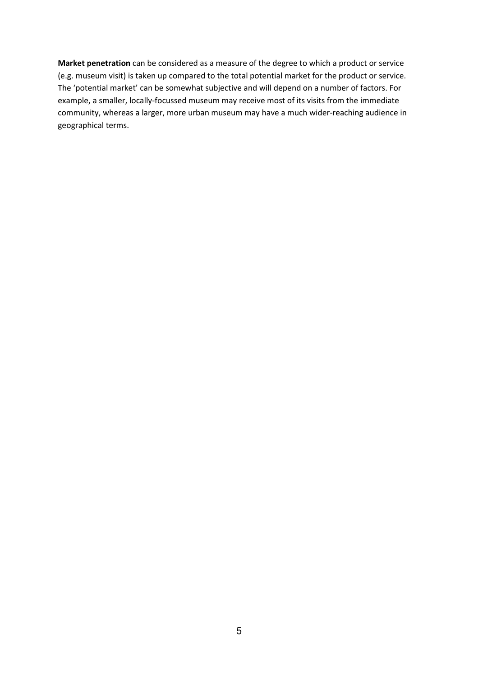Market penetration can be considered as a measure of the degree to which a product or service (e.g. museum visit) is taken up compared to the total potential market for the product or service. The 'potential market' can be somewhat subjective and will depend on a number of factors. For example, a smaller, locally-focussed museum may receive most of its visits from the immediate community, whereas a larger, more urban museum may have a much wider-reaching audience in geographical terms.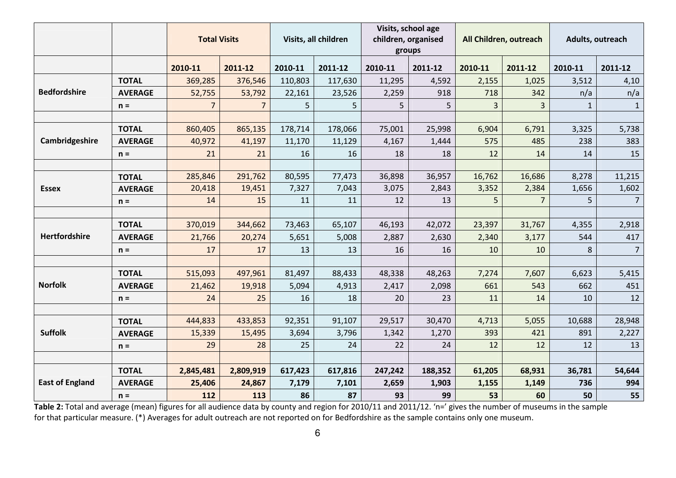|                        |                                | <b>Total Visits</b> |                |         | Visits, all children |         | Visits, school age<br>children, organised<br>groups |         | All Children, outreach |              | Adults, outreach |
|------------------------|--------------------------------|---------------------|----------------|---------|----------------------|---------|-----------------------------------------------------|---------|------------------------|--------------|------------------|
|                        |                                | 2010-11             | 2011-12        | 2010-11 | 2011-12              | 2010-11 | 2011-12                                             | 2010-11 | 2011-12                | 2010-11      | 2011-12          |
|                        | <b>TOTAL</b>                   | 369,285             | 376,546        | 110,803 | 117,630              | 11,295  | 4,592                                               | 2,155   | 1,025                  | 3,512        | 4,10             |
| <b>Bedfordshire</b>    | <b>AVERAGE</b>                 | 52,755              | 53,792         | 22,161  | 23,526               | 2,259   | 918                                                 | 718     | 342                    | n/a          | n/a              |
|                        | $n =$                          | $\overline{7}$      | $\overline{7}$ | 5       | 5                    | 5       | 5                                                   | 3       | 3                      | $\mathbf{1}$ | $\mathbf{1}$     |
|                        |                                |                     |                |         |                      |         |                                                     |         |                        |              |                  |
|                        | <b>TOTAL</b>                   | 860,405             | 865,135        | 178,714 | 178,066              | 75,001  | 25,998                                              | 6,904   | 6,791                  | 3,325        | 5,738            |
| Cambridgeshire         | <b>AVERAGE</b>                 | 40,972              | 41,197         | 11,170  | 11,129               | 4,167   | 1,444                                               | 575     | 485                    | 238          | 383              |
|                        | $n =$                          | 21                  | 21             | 16      | 16                   | 18      | 18                                                  | 12      | 14                     | 14           | 15               |
|                        |                                | 285,846             | 291,762        | 80,595  |                      | 36,898  | 36,957                                              | 16,762  | 16,686                 | 8,278        |                  |
| <b>Essex</b>           | <b>TOTAL</b><br><b>AVERAGE</b> | 20,418              | 19,451         | 7,327   | 77,473<br>7,043      | 3,075   | 2,843                                               | 3,352   | 2,384                  | 1,656        | 11,215<br>1,602  |
|                        | $n =$                          | 14                  | 15             | 11      | 11                   | 12      | 13                                                  | 5       | $\overline{7}$         | 5            | $\overline{7}$   |
|                        |                                |                     |                |         |                      |         |                                                     |         |                        |              |                  |
|                        | <b>TOTAL</b>                   | 370,019             | 344,662        | 73,463  | 65,107               | 46,193  | 42,072                                              | 23,397  | 31,767                 | 4,355        | 2,918            |
| Hertfordshire          | <b>AVERAGE</b>                 | 21,766              | 20,274         | 5,651   | 5,008                | 2,887   | 2,630                                               | 2,340   | 3,177                  | 544          | 417              |
|                        | $n =$                          | 17                  | 17             | 13      | 13                   | 16      | 16                                                  | 10      | 10                     | 8            | $\overline{7}$   |
|                        |                                |                     |                |         |                      |         |                                                     |         |                        |              |                  |
|                        | <b>TOTAL</b>                   | 515,093             | 497,961        | 81,497  | 88,433               | 48,338  | 48,263                                              | 7,274   | 7,607                  | 6,623        | 5,415            |
| <b>Norfolk</b>         | <b>AVERAGE</b>                 | 21,462              | 19,918         | 5,094   | 4,913                | 2,417   | 2,098                                               | 661     | 543                    | 662          | 451              |
|                        | $n =$                          | 24                  | 25             | 16      | 18                   | 20      | 23                                                  | 11      | 14                     | 10           | 12               |
|                        |                                |                     |                |         |                      |         |                                                     |         |                        |              |                  |
|                        | <b>TOTAL</b>                   | 444,833             | 433,853        | 92,351  | 91,107               | 29,517  | 30,470                                              | 4,713   | 5,055                  | 10,688       | 28,948           |
| <b>Suffolk</b>         | <b>AVERAGE</b>                 | 15,339              | 15,495         | 3,694   | 3,796                | 1,342   | 1,270                                               | 393     | 421                    | 891          | 2,227            |
|                        | $n =$                          | 29                  | 28             | 25      | 24                   | 22      | 24                                                  | 12      | 12                     | 12           | 13               |
|                        |                                |                     |                |         |                      |         |                                                     |         |                        |              |                  |
|                        | <b>TOTAL</b>                   | 2,845,481           | 2,809,919      | 617,423 | 617,816              | 247,242 | 188,352                                             | 61,205  | 68,931                 | 36,781       | 54,644           |
| <b>East of England</b> | <b>AVERAGE</b>                 | 25,406              | 24,867         | 7,179   | 7,101                | 2,659   | 1,903                                               | 1,155   | 1,149                  | 736          | 994              |
|                        | $n =$                          | 112                 | 113            | 86      | 87                   | 93      | 99                                                  | 53      | 60                     | 50           | 55               |

Table 2: Total and average (mean) figures for all audience data by county and region for 2010/11 and 2011/12. 'n=' gives the number of museums in the sample for that particular measure. (\*) Averages for adult outreach are not reported on for Bedfordshire as the sample contains only one museum.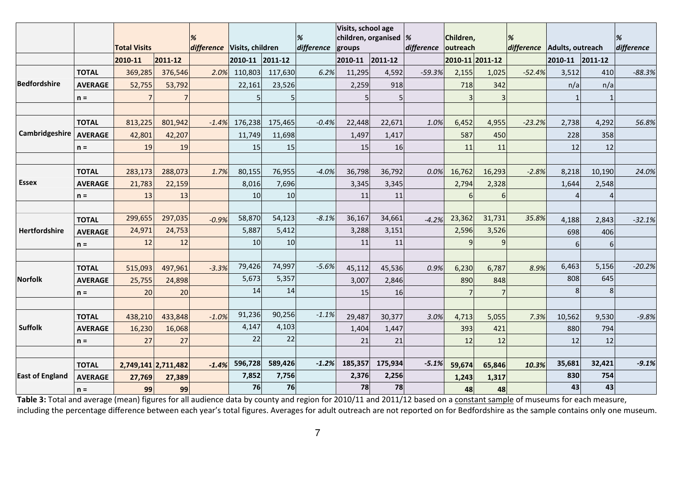|                        |                |                     |                     |                             |         |         | %          | Visits, school age<br>children, organised $\frac{1}{6}$ |         |                     | Children, |                 |                             |                 |                |            |
|------------------------|----------------|---------------------|---------------------|-----------------------------|---------|---------|------------|---------------------------------------------------------|---------|---------------------|-----------|-----------------|-----------------------------|-----------------|----------------|------------|
|                        |                | <b>Total Visits</b> |                     | difference Visits, children |         |         | difference | groups                                                  |         | difference outreach |           |                 | difference Adults, outreach |                 |                | difference |
|                        |                | 2010-11             | 2011-12             |                             | 2010-11 | 2011-12 |            | 2010-11 2011-12                                         |         |                     |           | 2010-11 2011-12 |                             | 2010-11 2011-12 |                |            |
|                        | <b>TOTAL</b>   | 369,285             | 376,546             | 2.0%                        | 110,803 | 117,630 | 6.2%       | 11,295                                                  | 4,592   | $-59.3%$            | 2,155     | 1,025           | $-52.4%$                    | 3,512           | 410            | $-88.3%$   |
| Bedfordshire           | <b>AVERAGE</b> | 52,755              | 53,792              |                             | 22,161  | 23,526  |            | 2,259                                                   | 918     |                     | 718       | 342             |                             | n/a             | n/a            |            |
|                        | $n =$          |                     |                     |                             |         |         |            | 5                                                       | 5       |                     | 3         |                 |                             |                 |                |            |
|                        |                |                     |                     |                             |         |         |            |                                                         |         |                     |           |                 |                             |                 |                |            |
|                        | <b>TOTAL</b>   | 813,225             | 801,942             | $-1.4%$                     | 176,238 | 175,465 | $-0.4%$    | 22,448                                                  | 22,671  | 1.0%                | 6,452     | 4,955           | $-23.2%$                    | 2,738           | 4,292          | 56.8%      |
| Cambridgeshire         | <b>AVERAGE</b> | 42,801              | 42,207              |                             | 11,749  | 11,698  |            | 1,497                                                   | 1,417   |                     | 587       | 450             |                             | 228             | 358            |            |
|                        | $n =$          | 19                  | 19                  |                             | 15      | 15      |            | 15                                                      | 16      |                     | 11        | 11              |                             | 12              | 12             |            |
|                        |                |                     |                     |                             |         |         |            |                                                         |         |                     |           |                 |                             |                 |                |            |
|                        | <b>TOTAL</b>   | 283,173             | 288,073             | 1.7%                        | 80,155  | 76,955  | $-4.0%$    | 36,798                                                  | 36,792  | 0.0%                | 16,762    | 16,293          | $-2.8%$                     | 8,218           | 10,190         | 24.0%      |
| <b>Essex</b>           | <b>AVERAGE</b> | 21,783              | 22,159              |                             | 8,016   | 7,696   |            | 3,345                                                   | 3,345   |                     | 2,794     | 2,328           |                             | 1,644           | 2,548          |            |
|                        | $n =$          | 13                  | 13                  |                             | 10      | 10      |            | 11                                                      | 11      |                     | 6         | 6               |                             |                 |                |            |
|                        |                |                     |                     |                             |         |         |            |                                                         |         |                     |           |                 |                             |                 |                |            |
|                        | <b>TOTAL</b>   | 299,655             | 297,035             | $-0.9%$                     | 58,870  | 54,123  | $-8.1%$    | 36,167                                                  | 34,661  | $-4.2%$             | 23,362    | 31,731          | 35.8%                       | 4,188           | 2,843          | $-32.1%$   |
| Hertfordshire          | <b>AVERAGE</b> | 24,971              | 24,753              |                             | 5,887   | 5,412   |            | 3,288                                                   | 3,151   |                     | 2,596     | 3,526           |                             | 698             | 406            |            |
|                        | $n =$          | 12                  | 12                  |                             | 10      | 10      |            | 11                                                      | 11      |                     | q         | 9               |                             | 6               | 6              |            |
|                        |                |                     |                     |                             |         |         |            |                                                         |         |                     |           |                 |                             |                 |                |            |
|                        | <b>TOTAL</b>   | 515,093             | 497,961             | $-3.3%$                     | 79,426  | 74,997  | $-5.6%$    | 45,112                                                  | 45,536  | 0.9%                | 6,230     | 6,787           | 8.9%                        | 6,463           | 5,156          | $-20.2%$   |
| <b>Norfolk</b>         | <b>AVERAGE</b> | 25,755              | 24,898              |                             | 5,673   | 5,357   |            | 3,007                                                   | 2,846   |                     | 890       | 848             |                             | 808             | 645            |            |
|                        | $n =$          | 20                  | 20                  |                             | 14      | 14      |            | 15                                                      | 16      |                     |           |                 |                             | 8               | 8 <sup>1</sup> |            |
|                        |                |                     |                     |                             |         |         |            |                                                         |         |                     |           |                 |                             |                 |                |            |
|                        | <b>TOTAL</b>   | 438,210             | 433,848             | $-1.0%$                     | 91,236  | 90,256  | $-1.1%$    | 29,487                                                  | 30,377  | 3.0%                | 4,713     | 5,055           | 7.3%                        | 10,562          | 9,530          | $-9.8%$    |
| <b>Suffolk</b>         | <b>AVERAGE</b> | 16,230              | 16,068              |                             | 4,147   | 4,103   |            | 1,404                                                   | 1,447   |                     | 393       | 421             |                             | 880             | 794            |            |
|                        | $n =$          | 27                  | 27                  |                             | 22      | 22      |            | 21                                                      | 21      |                     | 12        | 12              |                             | 12              | 12             |            |
|                        |                |                     |                     |                             |         |         |            |                                                         |         |                     |           |                 |                             |                 |                |            |
|                        | <b>TOTAL</b>   |                     | 2,749,141 2,711,482 | $-1.4%$                     | 596,728 | 589,426 | $-1.2%$    | 185,357                                                 | 175,934 | $-5.1%$             | 59,674    | 65,846          | 10.3%                       | 35,681          | 32,421         | $-9.1%$    |
| <b>East of England</b> | <b>AVERAGE</b> | 27,769              | 27,389              |                             | 7,852   | 7,756   |            | 2,376                                                   | 2,256   |                     | 1,243     | 1,317           |                             | 830             | 754            |            |
|                        | $n =$          | 99                  | 99                  |                             | 76      | 76      |            | 78                                                      | 78      |                     | 48        | 48              |                             | 43              | 43             |            |

Table 3: Total and average (mean) figures for all audience data by county and region for 2010/11 and 2011/12 based on a constant sample of museums for each measure, including the percentage difference between each year's total figures. Averages for adult outreach are not reported on for Bedfordshire as the sample contains only one museum.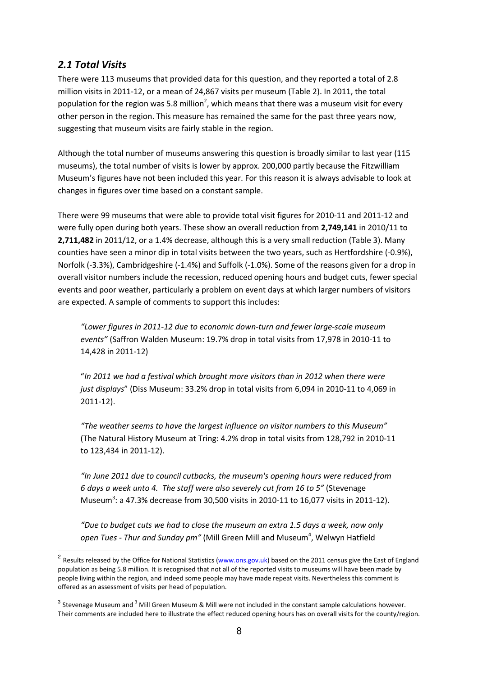## 2.1 Total Visits

 $\overline{a}$ 

There were 113 museums that provided data for this question, and they reported a total of 2.8 million visits in 2011-12, or a mean of 24,867 visits per museum (Table 2). In 2011, the total population for the region was 5.8 million<sup>2</sup>, which means that there was a museum visit for every other person in the region. This measure has remained the same for the past three years now, suggesting that museum visits are fairly stable in the region.

Although the total number of museums answering this question is broadly similar to last year (115 museums), the total number of visits is lower by approx. 200,000 partly because the Fitzwilliam Museum's figures have not been included this year. For this reason it is always advisable to look at changes in figures over time based on a constant sample.

There were 99 museums that were able to provide total visit figures for 2010-11 and 2011-12 and were fully open during both years. These show an overall reduction from 2,749,141 in 2010/11 to 2,711,482 in 2011/12, or a 1.4% decrease, although this is a very small reduction (Table 3). Many counties have seen a minor dip in total visits between the two years, such as Hertfordshire (-0.9%), Norfolk (-3.3%), Cambridgeshire (-1.4%) and Suffolk (-1.0%). Some of the reasons given for a drop in overall visitor numbers include the recession, reduced opening hours and budget cuts, fewer special events and poor weather, particularly a problem on event days at which larger numbers of visitors are expected. A sample of comments to support this includes:

"Lower figures in 2011-12 due to economic down-turn and fewer large-scale museum events" (Saffron Walden Museum: 19.7% drop in total visits from 17,978 in 2010-11 to 14,428 in 2011-12)

"In 2011 we had a festival which brought more visitors than in 2012 when there were just displays" (Diss Museum: 33.2% drop in total visits from 6,094 in 2010-11 to 4,069 in 2011-12).

"The weather seems to have the largest influence on visitor numbers to this Museum" (The Natural History Museum at Tring: 4.2% drop in total visits from 128,792 in 2010-11 to 123,434 in 2011-12).

"In June 2011 due to council cutbacks, the museum's opening hours were reduced from 6 days a week unto 4. The staff were also severely cut from 16 to 5" (Stevenage Museum<sup>3</sup>: a 47.3% decrease from 30,500 visits in 2010-11 to 16,077 visits in 2011-12).

"Due to budget cuts we had to close the museum an extra 1.5 days a week, now only open Tues - Thur and Sunday pm" (Mill Green Mill and Museum<sup>4</sup>, Welwyn Hatfield

<sup>&</sup>lt;sup>2</sup> Results released by the Office for National Statistics (<u>www.ons.gov.uk</u>) based on the 2011 census give the East of England population as being 5.8 million. It is recognised that not all of the reported visits to museums will have been made by people living within the region, and indeed some people may have made repeat visits. Nevertheless this comment is offered as an assessment of visits per head of population.

<sup>&</sup>lt;sup>3</sup> Stevenage Museum and <sup>3</sup> Mill Green Museum & Mill were not included in the constant sample calculations however. Their comments are included here to illustrate the effect reduced opening hours has on overall visits for the county/region.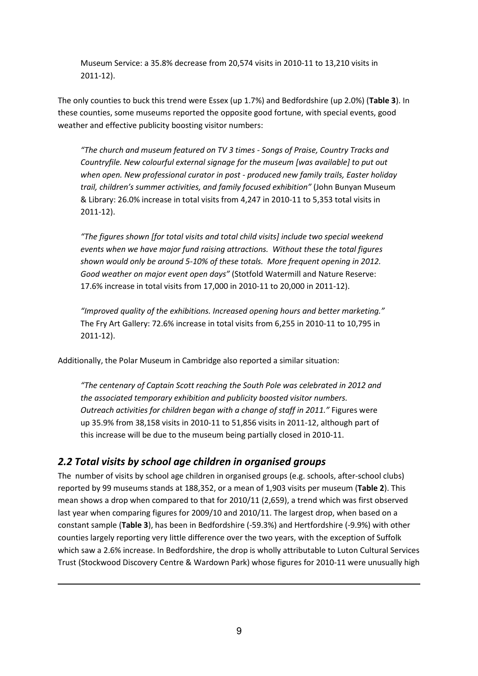Museum Service: a 35.8% decrease from 20,574 visits in 2010-11 to 13,210 visits in 2011-12).

The only counties to buck this trend were Essex (up 1.7%) and Bedfordshire (up 2.0%) (Table 3). In these counties, some museums reported the opposite good fortune, with special events, good weather and effective publicity boosting visitor numbers:

"The church and museum featured on TV 3 times - Songs of Praise, Country Tracks and Countryfile. New colourful external signage for the museum [was available] to put out when open. New professional curator in post - produced new family trails, Easter holiday trail, children's summer activities, and family focused exhibition" (John Bunyan Museum & Library: 26.0% increase in total visits from 4,247 in 2010-11 to 5,353 total visits in 2011-12).

"The figures shown [for total visits and total child visits] include two special weekend events when we have major fund raising attractions. Without these the total figures shown would only be around 5-10% of these totals. More frequent opening in 2012. Good weather on major event open days" (Stotfold Watermill and Nature Reserve: 17.6% increase in total visits from 17,000 in 2010-11 to 20,000 in 2011-12).

"Improved quality of the exhibitions. Increased opening hours and better marketing." The Fry Art Gallery: 72.6% increase in total visits from 6,255 in 2010-11 to 10,795 in 2011-12).

Additionally, the Polar Museum in Cambridge also reported a similar situation:

"The centenary of Captain Scott reaching the South Pole was celebrated in 2012 and the associated temporary exhibition and publicity boosted visitor numbers. Outreach activities for children began with a change of staff in 2011." Figures were up 35.9% from 38,158 visits in 2010-11 to 51,856 visits in 2011-12, although part of this increase will be due to the museum being partially closed in 2010-11.

## 2.2 Total visits by school age children in organised groups

 $\overline{a}$ 

The number of visits by school age children in organised groups (e.g. schools, after-school clubs) reported by 99 museums stands at 188,352, or a mean of 1,903 visits per museum (Table 2). This mean shows a drop when compared to that for 2010/11 (2,659), a trend which was first observed last year when comparing figures for 2009/10 and 2010/11. The largest drop, when based on a constant sample (Table 3), has been in Bedfordshire (-59.3%) and Hertfordshire (-9.9%) with other counties largely reporting very little difference over the two years, with the exception of Suffolk which saw a 2.6% increase. In Bedfordshire, the drop is wholly attributable to Luton Cultural Services Trust (Stockwood Discovery Centre & Wardown Park) whose figures for 2010-11 were unusually high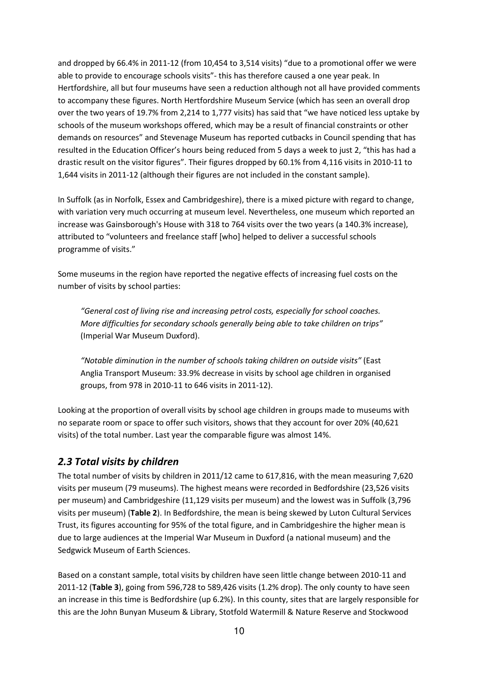and dropped by 66.4% in 2011-12 (from 10,454 to 3,514 visits) "due to a promotional offer we were able to provide to encourage schools visits"- this has therefore caused a one year peak. In Hertfordshire, all but four museums have seen a reduction although not all have provided comments to accompany these figures. North Hertfordshire Museum Service (which has seen an overall drop over the two years of 19.7% from 2,214 to 1,777 visits) has said that "we have noticed less uptake by schools of the museum workshops offered, which may be a result of financial constraints or other demands on resources" and Stevenage Museum has reported cutbacks in Council spending that has resulted in the Education Officer's hours being reduced from 5 days a week to just 2, "this has had a drastic result on the visitor figures". Their figures dropped by 60.1% from 4,116 visits in 2010-11 to 1,644 visits in 2011-12 (although their figures are not included in the constant sample).

In Suffolk (as in Norfolk, Essex and Cambridgeshire), there is a mixed picture with regard to change, with variation very much occurring at museum level. Nevertheless, one museum which reported an increase was Gainsborough's House with 318 to 764 visits over the two years (a 140.3% increase), attributed to "volunteers and freelance staff [who] helped to deliver a successful schools programme of visits."

Some museums in the region have reported the negative effects of increasing fuel costs on the number of visits by school parties:

"General cost of living rise and increasing petrol costs, especially for school coaches. More difficulties for secondary schools generally being able to take children on trips" (Imperial War Museum Duxford).

"Notable diminution in the number of schools taking children on outside visits" (East Anglia Transport Museum: 33.9% decrease in visits by school age children in organised groups, from 978 in 2010-11 to 646 visits in 2011-12).

Looking at the proportion of overall visits by school age children in groups made to museums with no separate room or space to offer such visitors, shows that they account for over 20% (40,621 visits) of the total number. Last year the comparable figure was almost 14%.

## 2.3 Total visits by children

The total number of visits by children in 2011/12 came to 617,816, with the mean measuring 7,620 visits per museum (79 museums). The highest means were recorded in Bedfordshire (23,526 visits per museum) and Cambridgeshire (11,129 visits per museum) and the lowest was in Suffolk (3,796 visits per museum) (Table 2). In Bedfordshire, the mean is being skewed by Luton Cultural Services Trust, its figures accounting for 95% of the total figure, and in Cambridgeshire the higher mean is due to large audiences at the Imperial War Museum in Duxford (a national museum) and the Sedgwick Museum of Earth Sciences.

Based on a constant sample, total visits by children have seen little change between 2010-11 and 2011-12 (Table 3), going from 596,728 to 589,426 visits (1.2% drop). The only county to have seen an increase in this time is Bedfordshire (up 6.2%). In this county, sites that are largely responsible for this are the John Bunyan Museum & Library, Stotfold Watermill & Nature Reserve and Stockwood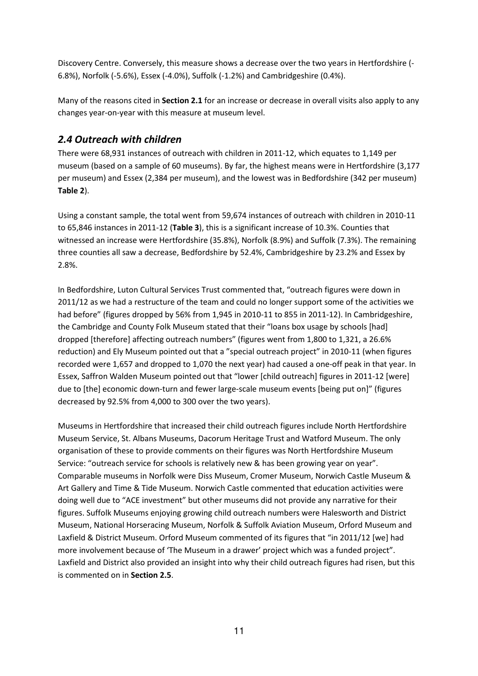Discovery Centre. Conversely, this measure shows a decrease over the two years in Hertfordshire (- 6.8%), Norfolk (-5.6%), Essex (-4.0%), Suffolk (-1.2%) and Cambridgeshire (0.4%).

Many of the reasons cited in Section 2.1 for an increase or decrease in overall visits also apply to any changes year-on-year with this measure at museum level.

## 2.4 Outreach with children

There were 68,931 instances of outreach with children in 2011-12, which equates to 1,149 per museum (based on a sample of 60 museums). By far, the highest means were in Hertfordshire (3,177 per museum) and Essex (2,384 per museum), and the lowest was in Bedfordshire (342 per museum) Table 2).

Using a constant sample, the total went from 59,674 instances of outreach with children in 2010-11 to 65,846 instances in 2011-12 (Table 3), this is a significant increase of 10.3%. Counties that witnessed an increase were Hertfordshire (35.8%), Norfolk (8.9%) and Suffolk (7.3%). The remaining three counties all saw a decrease, Bedfordshire by 52.4%, Cambridgeshire by 23.2% and Essex by 2.8%.

In Bedfordshire, Luton Cultural Services Trust commented that, "outreach figures were down in 2011/12 as we had a restructure of the team and could no longer support some of the activities we had before" (figures dropped by 56% from 1,945 in 2010-11 to 855 in 2011-12). In Cambridgeshire, the Cambridge and County Folk Museum stated that their "loans box usage by schools [had] dropped [therefore] affecting outreach numbers" (figures went from 1,800 to 1,321, a 26.6% reduction) and Ely Museum pointed out that a "special outreach project" in 2010-11 (when figures recorded were 1,657 and dropped to 1,070 the next year) had caused a one-off peak in that year. In Essex, Saffron Walden Museum pointed out that "lower [child outreach] figures in 2011-12 [were] due to [the] economic down-turn and fewer large-scale museum events [being put on]" (figures decreased by 92.5% from 4,000 to 300 over the two years).

Museums in Hertfordshire that increased their child outreach figures include North Hertfordshire Museum Service, St. Albans Museums, Dacorum Heritage Trust and Watford Museum. The only organisation of these to provide comments on their figures was North Hertfordshire Museum Service: "outreach service for schools is relatively new & has been growing year on year". Comparable museums in Norfolk were Diss Museum, Cromer Museum, Norwich Castle Museum & Art Gallery and Time & Tide Museum. Norwich Castle commented that education activities were doing well due to "ACE investment" but other museums did not provide any narrative for their figures. Suffolk Museums enjoying growing child outreach numbers were Halesworth and District Museum, National Horseracing Museum, Norfolk & Suffolk Aviation Museum, Orford Museum and Laxfield & District Museum. Orford Museum commented of its figures that "in 2011/12 [we] had more involvement because of 'The Museum in a drawer' project which was a funded project". Laxfield and District also provided an insight into why their child outreach figures had risen, but this is commented on in Section 2.5.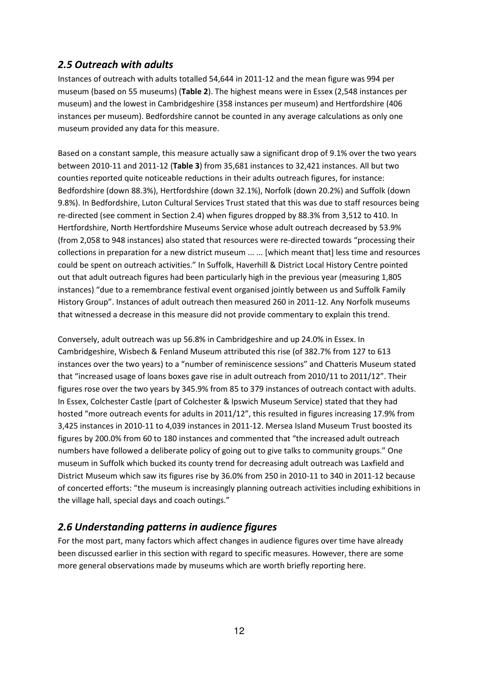## 2.5 Outreach with adults

Instances of outreach with adults totalled 54,644 in 2011-12 and the mean figure was 994 per museum (based on 55 museums) (Table 2). The highest means were in Essex (2,548 instances per museum) and the lowest in Cambridgeshire (358 instances per museum) and Hertfordshire (406 instances per museum). Bedfordshire cannot be counted in any average calculations as only one museum provided any data for this measure.

Based on a constant sample, this measure actually saw a significant drop of 9.1% over the two years between 2010-11 and 2011-12 (Table 3) from 35,681 instances to 32,421 instances. All but two counties reported quite noticeable reductions in their adults outreach figures, for instance: Bedfordshire (down 88.3%), Hertfordshire (down 32.1%), Norfolk (down 20.2%) and Suffolk (down 9.8%). In Bedfordshire, Luton Cultural Services Trust stated that this was due to staff resources being re-directed (see comment in Section 2.4) when figures dropped by 88.3% from 3,512 to 410. In Hertfordshire, North Hertfordshire Museums Service whose adult outreach decreased by 53.9% (from 2,058 to 948 instances) also stated that resources were re-directed towards "processing their collections in preparation for a new district museum ... ... [which meant that] less time and resources could be spent on outreach activities." In Suffolk, Haverhill & District Local History Centre pointed out that adult outreach figures had been particularly high in the previous year (measuring 1,805 instances) "due to a remembrance festival event organised jointly between us and Suffolk Family History Group". Instances of adult outreach then measured 260 in 2011-12. Any Norfolk museums that witnessed a decrease in this measure did not provide commentary to explain this trend.

Conversely, adult outreach was up 56.8% in Cambridgeshire and up 24.0% in Essex. In Cambridgeshire, Wisbech & Fenland Museum attributed this rise (of 382.7% from 127 to 613 instances over the two years) to a "number of reminiscence sessions" and Chatteris Museum stated that "increased usage of loans boxes gave rise in adult outreach from 2010/11 to 2011/12". Their figures rose over the two years by 345.9% from 85 to 379 instances of outreach contact with adults. In Essex, Colchester Castle (part of Colchester & Ipswich Museum Service) stated that they had hosted "more outreach events for adults in 2011/12", this resulted in figures increasing 17.9% from 3,425 instances in 2010-11 to 4,039 instances in 2011-12. Mersea Island Museum Trust boosted its figures by 200.0% from 60 to 180 instances and commented that "the increased adult outreach numbers have followed a deliberate policy of going out to give talks to community groups." One museum in Suffolk which bucked its county trend for decreasing adult outreach was Laxfield and District Museum which saw its figures rise by 36.0% from 250 in 2010-11 to 340 in 2011-12 because of concerted efforts: "the museum is increasingly planning outreach activities including exhibitions in the village hall, special days and coach outings."

## 2.6 Understanding patterns in audience figures

For the most part, many factors which affect changes in audience figures over time have already been discussed earlier in this section with regard to specific measures. However, there are some more general observations made by museums which are worth briefly reporting here.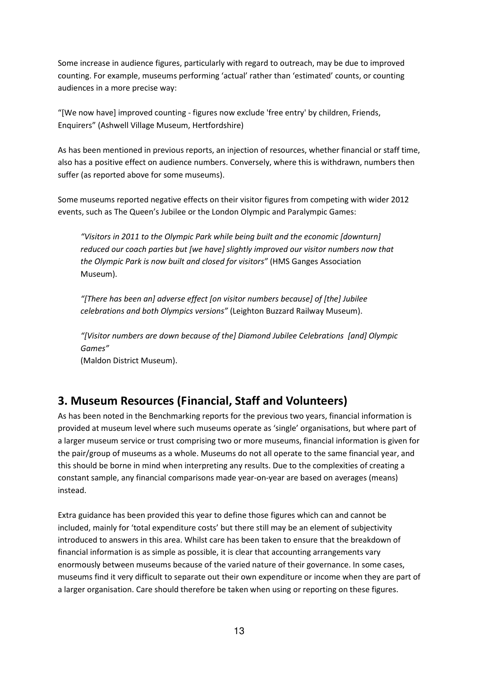Some increase in audience figures, particularly with regard to outreach, may be due to improved counting. For example, museums performing 'actual' rather than 'estimated' counts, or counting audiences in a more precise way:

"[We now have] improved counting - figures now exclude 'free entry' by children, Friends, Enquirers" (Ashwell Village Museum, Hertfordshire)

As has been mentioned in previous reports, an injection of resources, whether financial or staff time, also has a positive effect on audience numbers. Conversely, where this is withdrawn, numbers then suffer (as reported above for some museums).

Some museums reported negative effects on their visitor figures from competing with wider 2012 events, such as The Queen's Jubilee or the London Olympic and Paralympic Games:

"Visitors in 2011 to the Olympic Park while being built and the economic [downturn] reduced our coach parties but [we have] slightly improved our visitor numbers now that the Olympic Park is now built and closed for visitors" (HMS Ganges Association Museum).

"[There has been an] adverse effect [on visitor numbers because] of [the] Jubilee celebrations and both Olympics versions" (Leighton Buzzard Railway Museum).

"[Visitor numbers are down because of the] Diamond Jubilee Celebrations [and] Olympic Games"

(Maldon District Museum).

# 3. Museum Resources (Financial, Staff and Volunteers)

As has been noted in the Benchmarking reports for the previous two years, financial information is provided at museum level where such museums operate as 'single' organisations, but where part of a larger museum service or trust comprising two or more museums, financial information is given for the pair/group of museums as a whole. Museums do not all operate to the same financial year, and this should be borne in mind when interpreting any results. Due to the complexities of creating a constant sample, any financial comparisons made year-on-year are based on averages (means) instead.

Extra guidance has been provided this year to define those figures which can and cannot be included, mainly for 'total expenditure costs' but there still may be an element of subjectivity introduced to answers in this area. Whilst care has been taken to ensure that the breakdown of financial information is as simple as possible, it is clear that accounting arrangements vary enormously between museums because of the varied nature of their governance. In some cases, museums find it very difficult to separate out their own expenditure or income when they are part of a larger organisation. Care should therefore be taken when using or reporting on these figures.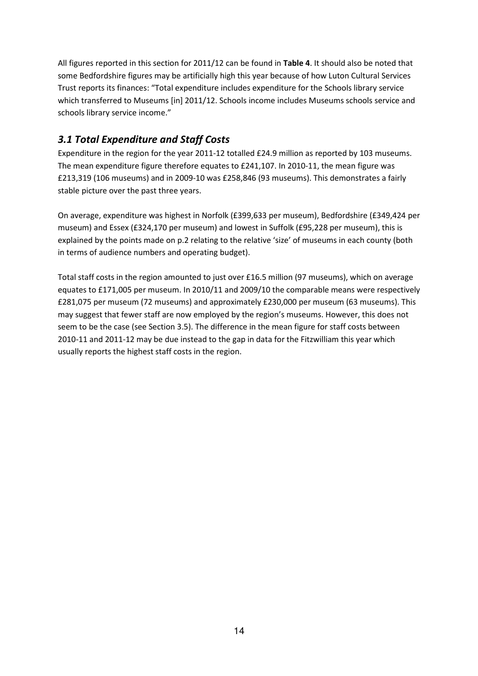All figures reported in this section for 2011/12 can be found in Table 4. It should also be noted that some Bedfordshire figures may be artificially high this year because of how Luton Cultural Services Trust reports its finances: "Total expenditure includes expenditure for the Schools library service which transferred to Museums [in] 2011/12. Schools income includes Museums schools service and schools library service income."

## 3.1 Total Expenditure and Staff Costs

Expenditure in the region for the year 2011-12 totalled £24.9 million as reported by 103 museums. The mean expenditure figure therefore equates to £241,107. In 2010-11, the mean figure was £213,319 (106 museums) and in 2009-10 was £258,846 (93 museums). This demonstrates a fairly stable picture over the past three years.

On average, expenditure was highest in Norfolk (£399,633 per museum), Bedfordshire (£349,424 per museum) and Essex (£324,170 per museum) and lowest in Suffolk (£95,228 per museum), this is explained by the points made on p.2 relating to the relative 'size' of museums in each county (both in terms of audience numbers and operating budget).

Total staff costs in the region amounted to just over £16.5 million (97 museums), which on average equates to £171,005 per museum. In 2010/11 and 2009/10 the comparable means were respectively £281,075 per museum (72 museums) and approximately £230,000 per museum (63 museums). This may suggest that fewer staff are now employed by the region's museums. However, this does not seem to be the case (see Section 3.5). The difference in the mean figure for staff costs between 2010-11 and 2011-12 may be due instead to the gap in data for the Fitzwilliam this year which usually reports the highest staff costs in the region.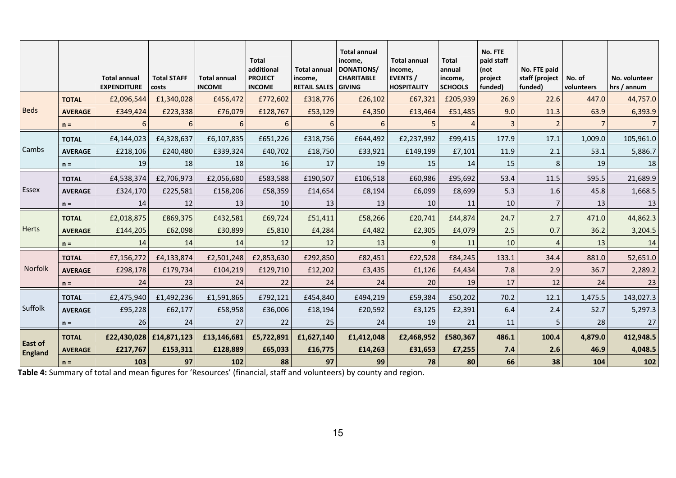|                           |                | <b>Total annual</b><br><b>EXPENDITURE</b> | <b>Total STAFF</b><br>costs | <b>Total annual</b><br><b>INCOME</b> | <b>Total</b><br>additional<br><b>PROJECT</b><br><b>INCOME</b> | <b>Total annual</b><br>income,<br><b>RETAIL SALES GIVING</b> | <b>Total annual</b><br>income,<br>DONATIONS/<br><b>CHARITABLE</b> | <b>Total annual</b><br>income,<br>EVENTS /<br><b>HOSPITALITY</b> | <b>Total</b><br>annual<br>income,<br><b>SCHOOLS</b> | No. FTE<br>paid staff<br>(not<br>project<br>funded) | No. FTE paid<br>staff (project<br>funded) | No. of<br>volunteers | No. volunteer<br>hrs / annum |
|---------------------------|----------------|-------------------------------------------|-----------------------------|--------------------------------------|---------------------------------------------------------------|--------------------------------------------------------------|-------------------------------------------------------------------|------------------------------------------------------------------|-----------------------------------------------------|-----------------------------------------------------|-------------------------------------------|----------------------|------------------------------|
|                           | <b>TOTAL</b>   | £2,096,544                                | £1,340,028                  | £456,472                             | £772,602                                                      | £318,776                                                     | £26,102                                                           | £67,321                                                          | £205,939                                            | 26.9                                                | 22.6                                      | 447.0                | 44,757.0                     |
| <b>Beds</b>               | <b>AVERAGE</b> | £349,424                                  | £223,338                    | £76,079                              | £128,767                                                      | £53,129                                                      | £4,350                                                            | £13,464                                                          | £51,485                                             | 9.0                                                 | 11.3                                      | 63.9                 | 6,393.9                      |
|                           | $n =$          | 6                                         | 6                           | 6                                    | 6                                                             | 6                                                            | 6                                                                 |                                                                  | $\boldsymbol{\Delta}$                               |                                                     | $\overline{2}$                            |                      |                              |
|                           | <b>TOTAL</b>   | £4,144,023                                | £4,328,637                  | £6,107,835                           | £651,226                                                      | £318,756                                                     | £644,492                                                          | £2,237,992                                                       | £99,415                                             | 177.9                                               | 17.1                                      | 1,009.0              | 105,961.0                    |
| Cambs                     | <b>AVERAGE</b> | £218,106                                  | £240,480                    | £339,324                             | £40,702                                                       | £18,750                                                      | £33,921                                                           | £149,199                                                         | £7,101                                              | 11.9                                                | 2.1                                       | 53.1                 | 5,886.7                      |
|                           | $n =$          | 19                                        | 18                          | 18                                   | 16                                                            | 17                                                           | 19                                                                | 15                                                               | 14                                                  | 15                                                  | 8                                         | 19                   | 18                           |
|                           | <b>TOTAL</b>   | £4,538,374                                | £2,706,973                  | £2,056,680                           | £583,588                                                      | £190,507                                                     | £106,518                                                          | £60,986                                                          | £95,692                                             | 53.4                                                | 11.5                                      | 595.5                | 21,689.9                     |
| Essex                     | <b>AVERAGE</b> | £324,170                                  | £225,581                    | £158,206                             | £58,359                                                       | £14,654                                                      | £8,194                                                            | £6,099                                                           | £8,699                                              | 5.3                                                 | 1.6                                       | 45.8                 | 1,668.5                      |
|                           | $n =$          | 14                                        | 12                          | 13                                   | 10                                                            | 13                                                           | 13                                                                | 10                                                               | 11                                                  | 10                                                  | 7                                         | 13                   | 13                           |
|                           | <b>TOTAL</b>   | £2,018,875                                | £869,375                    | £432,581                             | £69,724                                                       | £51,411                                                      | £58,266                                                           | £20,741                                                          | £44,874                                             | 24.7                                                | 2.7                                       | 471.0                | 44,862.3                     |
| <b>Herts</b>              | <b>AVERAGE</b> | £144,205                                  | £62,098                     | £30,899                              | £5,810                                                        | £4,284                                                       | £4,482                                                            | £2,305                                                           | £4,079                                              | 2.5                                                 | 0.7                                       | 36.2                 | 3,204.5                      |
|                           | $n =$          | 14                                        | 14                          | 14                                   | 12                                                            | 12                                                           | 13                                                                | 9                                                                | 11                                                  | 10                                                  | $\overline{a}$                            | 13                   | 14                           |
|                           | <b>TOTAL</b>   | £7,156,272                                | £4,133,874                  | £2,501,248                           | £2,853,630                                                    | £292,850                                                     | £82,451                                                           | £22,528                                                          | £84,245                                             | 133.1                                               | 34.4                                      | 881.0                | 52,651.0                     |
| <b>Norfolk</b>            | <b>AVERAGE</b> | £298,178                                  | £179,734                    | £104,219                             | £129,710                                                      | £12,202                                                      | £3,435                                                            | £1,126                                                           | £4,434                                              | 7.8                                                 | 2.9                                       | 36.7                 | 2,289.2                      |
|                           | $n =$          | 24                                        | 23                          | 24                                   | 22                                                            | 24                                                           | 24                                                                | 20                                                               | 19                                                  | 17                                                  | 12                                        | 24                   | 23                           |
|                           | <b>TOTAL</b>   | £2,475,940                                | £1,492,236                  | £1,591,865                           | £792,121                                                      | £454,840                                                     | £494,219                                                          | £59,384                                                          | £50,202                                             | 70.2                                                | 12.1                                      | 1,475.5              | 143,027.3                    |
| Suffolk                   | <b>AVERAGE</b> | £95,228                                   | £62,177                     | £58,958                              | £36,006                                                       | £18,194                                                      | £20,592                                                           | £3,125                                                           | £2,391                                              | 6.4                                                 | 2.4                                       | 52.7                 | 5,297.3                      |
|                           | $n =$          | 26                                        | 24                          | 27                                   | 22                                                            | 25                                                           | 24                                                                | 19                                                               | 21                                                  | 11                                                  | 5                                         | 28                   | 27                           |
|                           | <b>TOTAL</b>   |                                           | £22,430,028 £14,871,123     | £13,146,681                          | £5,722,891                                                    | £1,627,140                                                   | £1,412,048                                                        | £2,468,952                                                       | £580,367                                            | 486.1                                               | 100.4                                     | 4,879.0              | 412,948.5                    |
| East of<br><b>England</b> | <b>AVERAGE</b> | £217,767                                  | £153,311                    | £128,889                             | £65,033                                                       | £16,775                                                      | £14,263                                                           | £31,653                                                          | £7,255                                              | 7.4                                                 | 2.6                                       | 46.9                 | 4,048.5                      |
|                           | $n =$          | 103                                       | 97                          | 102                                  | 88                                                            | 97                                                           | 99                                                                | 78                                                               | 80                                                  | 66                                                  | 38                                        | 104                  | 102                          |

Table 4: Summary of total and mean figures for 'Resources' (financial, staff and volunteers) by county and region.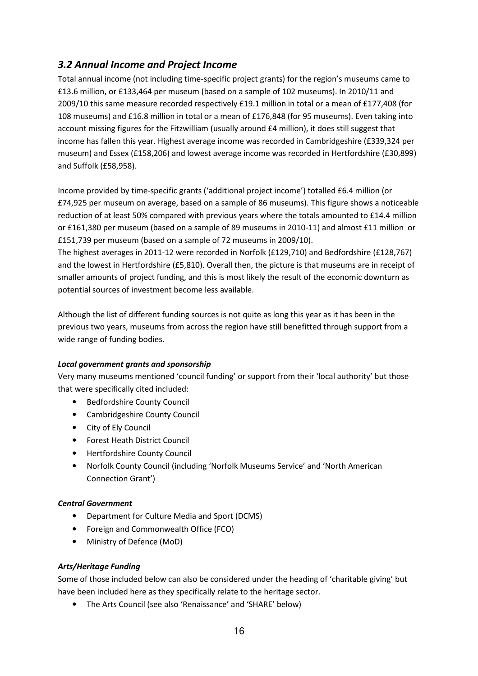## 3.2 Annual Income and Project Income

Total annual income (not including time-specific project grants) for the region's museums came to £13.6 million, or £133,464 per museum (based on a sample of 102 museums). In 2010/11 and 2009/10 this same measure recorded respectively £19.1 million in total or a mean of £177,408 (for 108 museums) and £16.8 million in total or a mean of £176,848 (for 95 museums). Even taking into account missing figures for the Fitzwilliam (usually around £4 million), it does still suggest that income has fallen this year. Highest average income was recorded in Cambridgeshire (£339,324 per museum) and Essex (£158,206) and lowest average income was recorded in Hertfordshire (£30,899) and Suffolk (£58,958).

Income provided by time-specific grants ('additional project income') totalled £6.4 million (or £74,925 per museum on average, based on a sample of 86 museums). This figure shows a noticeable reduction of at least 50% compared with previous years where the totals amounted to £14.4 million or £161,380 per museum (based on a sample of 89 museums in 2010-11) and almost £11 million or £151,739 per museum (based on a sample of 72 museums in 2009/10).

The highest averages in 2011-12 were recorded in Norfolk (£129,710) and Bedfordshire (£128,767) and the lowest in Hertfordshire (£5,810). Overall then, the picture is that museums are in receipt of smaller amounts of project funding, and this is most likely the result of the economic downturn as potential sources of investment become less available.

Although the list of different funding sources is not quite as long this year as it has been in the previous two years, museums from across the region have still benefitted through support from a wide range of funding bodies.

#### Local government grants and sponsorship

Very many museums mentioned 'council funding' or support from their 'local authority' but those that were specifically cited included:

- Bedfordshire County Council
- Cambridgeshire County Council
- City of Ely Council
- Forest Heath District Council
- Hertfordshire County Council
- Norfolk County Council (including 'Norfolk Museums Service' and 'North American Connection Grant')

#### Central Government

- Department for Culture Media and Sport (DCMS)
- Foreign and Commonwealth Office (FCO)
- Ministry of Defence (MoD)

#### Arts/Heritage Funding

Some of those included below can also be considered under the heading of 'charitable giving' but have been included here as they specifically relate to the heritage sector.

• The Arts Council (see also 'Renaissance' and 'SHARE' below)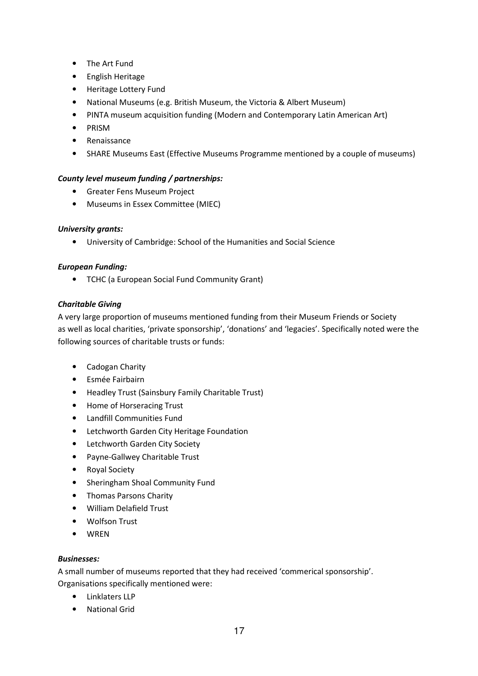- The Art Fund
- English Heritage
- Heritage Lottery Fund
- National Museums (e.g. British Museum, the Victoria & Albert Museum)
- PINTA museum acquisition funding (Modern and Contemporary Latin American Art)
- PRISM
- Renaissance
- SHARE Museums East (Effective Museums Programme mentioned by a couple of museums)

#### County level museum funding / partnerships:

- Greater Fens Museum Project
- Museums in Essex Committee (MIEC)

#### University grants:

• University of Cambridge: School of the Humanities and Social Science

#### European Funding:

• TCHC (a European Social Fund Community Grant)

#### Charitable Giving

A very large proportion of museums mentioned funding from their Museum Friends or Society as well as local charities, 'private sponsorship', 'donations' and 'legacies'. Specifically noted were the following sources of charitable trusts or funds:

- Cadogan Charity
- Esmée Fairbairn
- Headley Trust (Sainsbury Family Charitable Trust)
- Home of Horseracing Trust
- Landfill Communities Fund
- Letchworth Garden City Heritage Foundation
- Letchworth Garden City Society
- Payne-Gallwey Charitable Trust
- Royal Society
- Sheringham Shoal Community Fund
- Thomas Parsons Charity
- William Delafield Trust
- Wolfson Trust
- WREN

#### Businesses:

A small number of museums reported that they had received 'commerical sponsorship'. Organisations specifically mentioned were:

- Linklaters LLP
- National Grid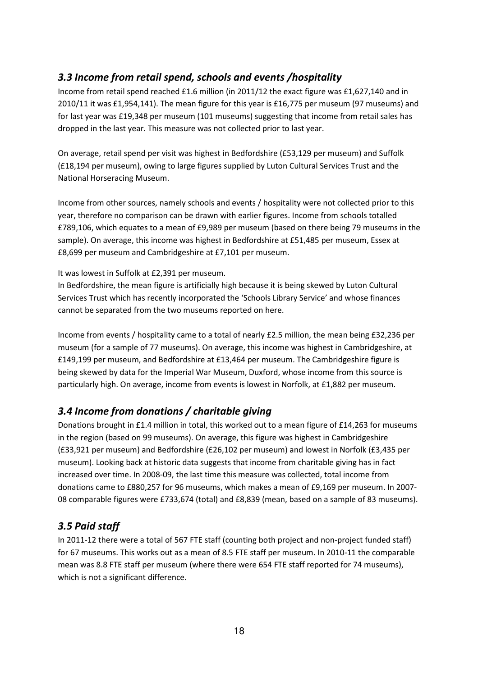## 3.3 Income from retail spend, schools and events /hospitality

Income from retail spend reached £1.6 million (in 2011/12 the exact figure was £1,627,140 and in 2010/11 it was £1,954,141). The mean figure for this year is £16,775 per museum (97 museums) and for last year was £19,348 per museum (101 museums) suggesting that income from retail sales has dropped in the last year. This measure was not collected prior to last year.

On average, retail spend per visit was highest in Bedfordshire (£53,129 per museum) and Suffolk (£18,194 per museum), owing to large figures supplied by Luton Cultural Services Trust and the National Horseracing Museum.

Income from other sources, namely schools and events / hospitality were not collected prior to this year, therefore no comparison can be drawn with earlier figures. Income from schools totalled £789,106, which equates to a mean of £9,989 per museum (based on there being 79 museums in the sample). On average, this income was highest in Bedfordshire at £51,485 per museum, Essex at £8,699 per museum and Cambridgeshire at £7,101 per museum.

#### It was lowest in Suffolk at £2,391 per museum.

In Bedfordshire, the mean figure is artificially high because it is being skewed by Luton Cultural Services Trust which has recently incorporated the 'Schools Library Service' and whose finances cannot be separated from the two museums reported on here.

Income from events / hospitality came to a total of nearly £2.5 million, the mean being £32,236 per museum (for a sample of 77 museums). On average, this income was highest in Cambridgeshire, at £149,199 per museum, and Bedfordshire at £13,464 per museum. The Cambridgeshire figure is being skewed by data for the Imperial War Museum, Duxford, whose income from this source is particularly high. On average, income from events is lowest in Norfolk, at £1,882 per museum.

## 3.4 Income from donations / charitable giving

Donations brought in £1.4 million in total, this worked out to a mean figure of £14,263 for museums in the region (based on 99 museums). On average, this figure was highest in Cambridgeshire (£33,921 per museum) and Bedfordshire (£26,102 per museum) and lowest in Norfolk (£3,435 per museum). Looking back at historic data suggests that income from charitable giving has in fact increased over time. In 2008-09, the last time this measure was collected, total income from donations came to £880,257 for 96 museums, which makes a mean of £9,169 per museum. In 2007- 08 comparable figures were £733,674 (total) and £8,839 (mean, based on a sample of 83 museums).

## 3.5 Paid staff

In 2011-12 there were a total of 567 FTE staff (counting both project and non-project funded staff) for 67 museums. This works out as a mean of 8.5 FTE staff per museum. In 2010-11 the comparable mean was 8.8 FTE staff per museum (where there were 654 FTE staff reported for 74 museums), which is not a significant difference.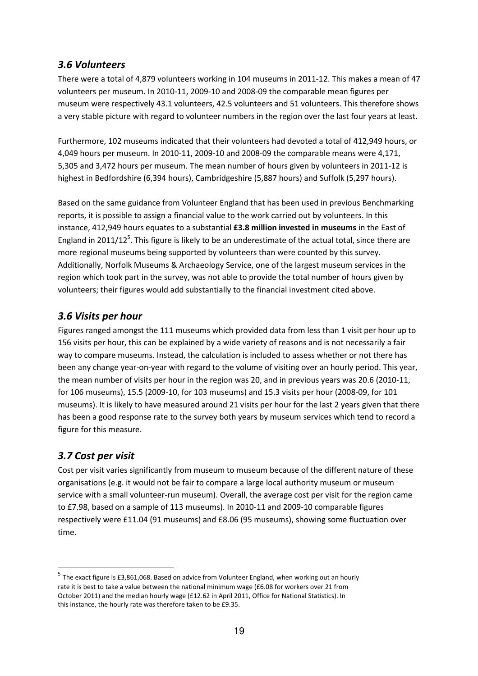## 3.6 Volunteers

There were a total of 4,879 volunteers working in 104 museums in 2011-12. This makes a mean of 47 volunteers per museum. In 2010-11, 2009-10 and 2008-09 the comparable mean figures per museum were respectively 43.1 volunteers, 42.5 volunteers and 51 volunteers. This therefore shows a very stable picture with regard to volunteer numbers in the region over the last four years at least.

Furthermore, 102 museums indicated that their volunteers had devoted a total of 412,949 hours, or 4,049 hours per museum. In 2010-11, 2009-10 and 2008-09 the comparable means were 4,171, 5,305 and 3,472 hours per museum. The mean number of hours given by volunteers in 2011-12 is highest in Bedfordshire (6,394 hours), Cambridgeshire (5,887 hours) and Suffolk (5,297 hours).

Based on the same guidance from Volunteer England that has been used in previous Benchmarking reports, it is possible to assign a financial value to the work carried out by volunteers. In this instance, 412,949 hours equates to a substantial **£3.8 million invested in museums** in the East of England in 2011/12<sup>5</sup>. This figure is likely to be an underestimate of the actual total, since there are more regional museums being supported by volunteers than were counted by this survey. Additionally, Norfolk Museums & Archaeology Service, one of the largest museum services in the region which took part in the survey, was not able to provide the total number of hours given by volunteers; their figures would add substantially to the financial investment cited above.

## 3.6 Visits per hour

Figures ranged amongst the 111 museums which provided data from less than 1 visit per hour up to 156 visits per hour, this can be explained by a wide variety of reasons and is not necessarily a fair way to compare museums. Instead, the calculation is included to assess whether or not there has been any change year-on-year with regard to the volume of visiting over an hourly period. This year, the mean number of visits per hour in the region was 20, and in previous years was 20.6 (2010-11, for 106 museums), 15.5 (2009-10, for 103 museums) and 15.3 visits per hour (2008-09, for 101 museums). It is likely to have measured around 21 visits per hour for the last 2 years given that there has been a good response rate to the survey both years by museum services which tend to record a figure for this measure.

## 3.7 Cost per visit

 $\overline{\phantom{0}}$ 

Cost per visit varies significantly from museum to museum because of the different nature of these organisations (e.g. it would not be fair to compare a large local authority museum or museum service with a small volunteer-run museum). Overall, the average cost per visit for the region came to £7.98, based on a sample of 113 museums). In 2010-11 and 2009-10 comparable figures respectively were £11.04 (91 museums) and £8.06 (95 museums), showing some fluctuation over time.

<sup>&</sup>lt;sup>5</sup> The exact figure is £3,861,068. Based on advice from Volunteer England, when working out an hourly rate it is best to take a value between the national minimum wage (£6.08 for workers over 21 from October 2011) and the median hourly wage (£12.62 in April 2011, Office for National Statistics). In this instance, the hourly rate was therefore taken to be £9.35.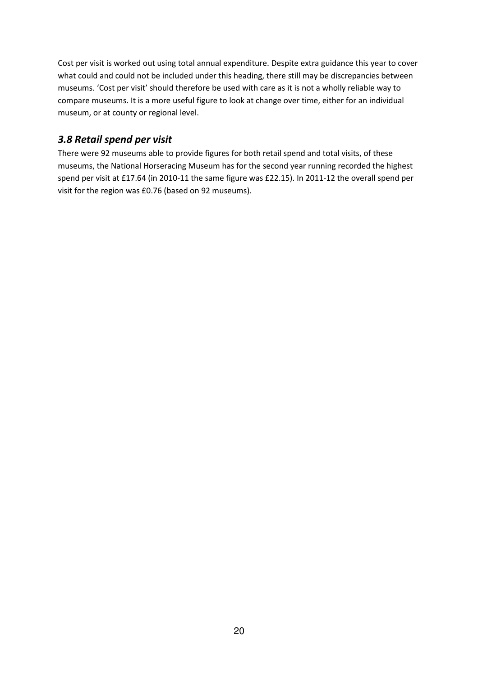Cost per visit is worked out using total annual expenditure. Despite extra guidance this year to cover what could and could not be included under this heading, there still may be discrepancies between museums. 'Cost per visit' should therefore be used with care as it is not a wholly reliable way to compare museums. It is a more useful figure to look at change over time, either for an individual museum, or at county or regional level.

## 3.8 Retail spend per visit

There were 92 museums able to provide figures for both retail spend and total visits, of these museums, the National Horseracing Museum has for the second year running recorded the highest spend per visit at £17.64 (in 2010-11 the same figure was £22.15). In 2011-12 the overall spend per visit for the region was £0.76 (based on 92 museums).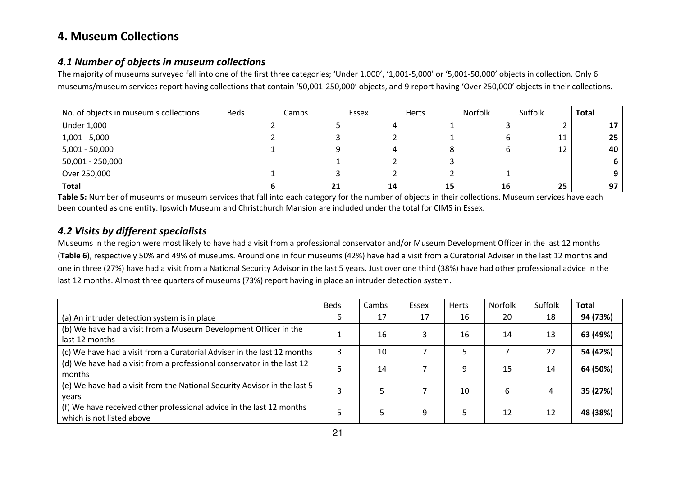# 4. Museum Collections

### 4.1 Number of objects in museum collections

The majority of museums surveyed fall into one of the first three categories; 'Under 1,000', '1,001-5,000' or '5,001-50,000' objects in collection. Only 6 museums/museum services report having collections that contain '50,001-250,000' objects, and 9 report having 'Over 250,000' objects in their collections.

| No. of objects in museum's collections | <b>Beds</b> | Cambs | Essex | <b>Herts</b> | Norfolk | Suffolk | <b>Total</b> |
|----------------------------------------|-------------|-------|-------|--------------|---------|---------|--------------|
| <b>Under 1,000</b>                     |             |       |       |              |         |         | 17           |
| $1,001 - 5,000$                        |             |       |       |              |         | 11      | 25           |
| $5,001 - 50,000$                       |             |       |       |              |         | 12      | 40           |
| 50,001 - 250,000                       |             |       |       |              |         |         | 6.           |
| Over 250,000                           |             |       |       |              |         |         |              |
| Total                                  |             | 21    | 14    | 15           | 16      | 25      | 97           |

**Table 5:** Number of museums or museum services that fall into each category for the number of objects in their collections. Museum services have each been counted as one entity. Ipswich Museum and Christchurch Mansion are included under the total for CIMS in Essex.

## 4.2 Visits by different specialists

 Museums in the region were most likely to have had a visit from a professional conservator and/or Museum Development Officer in the last 12 months (Table 6), respectively 50% and 49% of museums. Around one in four museums (42%) have had a visit from a Curatorial Adviser in the last 12 months and one in three (27%) have had a visit from a National Security Advisor in the last 5 years. Just over one third (38%) have had other professional advice in the last 12 months. Almost three quarters of museums (73%) report having in place an intruder detection system.

|                                                                                                   | <b>Beds</b> | Cambs | Essex | Herts | Norfolk      | Suffolk | <b>Total</b> |
|---------------------------------------------------------------------------------------------------|-------------|-------|-------|-------|--------------|---------|--------------|
| (a) An intruder detection system is in place                                                      | b           | 17    | 17    | 16    | 20           | 18      | 94 (73%)     |
| (b) We have had a visit from a Museum Development Officer in the<br>last 12 months                |             | 16    |       | 16    | 14           | 13      | 63 (49%)     |
| (c) We have had a visit from a Curatorial Adviser in the last 12 months                           |             | 10    |       |       |              | 22      | 54 (42%)     |
| (d) We have had a visit from a professional conservator in the last 12<br>months                  |             | 14    |       | 9     | 15           | 14      | 64 (50%)     |
| (e) We have had a visit from the National Security Advisor in the last 5<br>vears                 |             |       |       | 10    | <sub>b</sub> |         | 35 (27%)     |
| (f) We have received other professional advice in the last 12 months<br>which is not listed above |             |       | 9     | 5     | 12           | 12      | 48 (38%)     |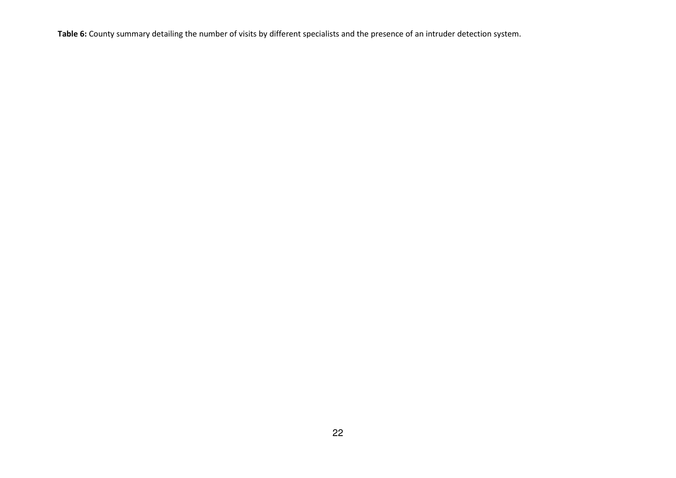Table 6: County summary detailing the number of visits by different specialists and the presence of an intruder detection system.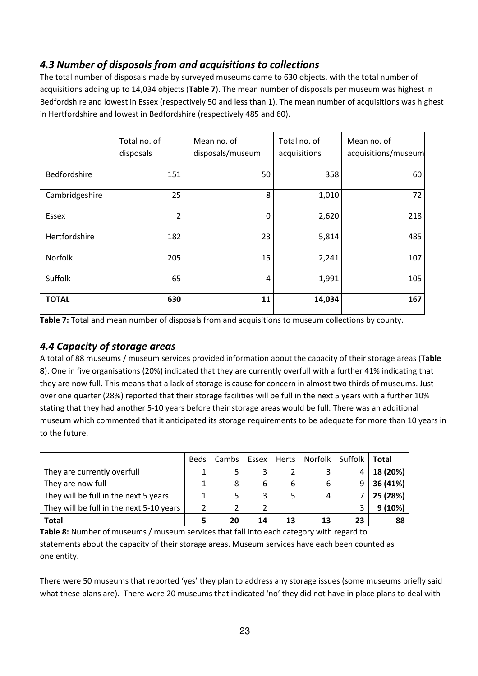## 4.3 Number of disposals from and acquisitions to collections

The total number of disposals made by surveyed museums came to 630 objects, with the total number of acquisitions adding up to 14,034 objects (Table 7). The mean number of disposals per museum was highest in Bedfordshire and lowest in Essex (respectively 50 and less than 1). The mean number of acquisitions was highest in Hertfordshire and lowest in Bedfordshire (respectively 485 and 60).

|                | Total no. of<br>disposals | Mean no. of<br>disposals/museum | Total no. of<br>acquisitions | Mean no. of<br>acquisitions/museum |
|----------------|---------------------------|---------------------------------|------------------------------|------------------------------------|
|                |                           |                                 |                              |                                    |
| Bedfordshire   | 151                       | 50                              | 358                          | 60                                 |
| Cambridgeshire | 25                        | 8                               | 1,010                        | 72                                 |
| Essex          | $\overline{2}$            | $\mathbf 0$                     | 2,620                        | 218                                |
| Hertfordshire  | 182                       | 23                              | 5,814                        | 485                                |
| Norfolk        | 205                       | 15                              | 2,241                        | 107                                |
| Suffolk        | 65                        | 4                               | 1,991                        | 105                                |
| <b>TOTAL</b>   | 630                       | 11                              | 14,034                       | 167                                |

Table 7: Total and mean number of disposals from and acquisitions to museum collections by county.

## 4.4 Capacity of storage areas

A total of 88 museums / museum services provided information about the capacity of their storage areas (Table 8). One in five organisations (20%) indicated that they are currently overfull with a further 41% indicating that they are now full. This means that a lack of storage is cause for concern in almost two thirds of museums. Just over one quarter (28%) reported that their storage facilities will be full in the next 5 years with a further 10% stating that they had another 5-10 years before their storage areas would be full. There was an additional museum which commented that it anticipated its storage requirements to be adequate for more than 10 years in to the future.

|                                          | <b>Beds</b> | Cambs | Essex | Herts | Norfolk | Suffolk | Total    |
|------------------------------------------|-------------|-------|-------|-------|---------|---------|----------|
| They are currently overfull              |             |       |       |       |         | 4       | 18 (20%) |
| They are now full                        |             | 8     | b     | b     | b       | 9       | 36 (41%) |
| They will be full in the next 5 years    |             |       |       |       | 4       |         | 25 (28%) |
| They will be full in the next 5-10 years |             |       |       |       |         |         | 9(10%)   |
| <b>Total</b>                             |             | 20    | 14    |       |         | 23      | 88       |

Table 8: Number of museums / museum services that fall into each category with regard to statements about the capacity of their storage areas. Museum services have each been counted as one entity.

There were 50 museums that reported 'yes' they plan to address any storage issues (some museums briefly said what these plans are). There were 20 museums that indicated 'no' they did not have in place plans to deal with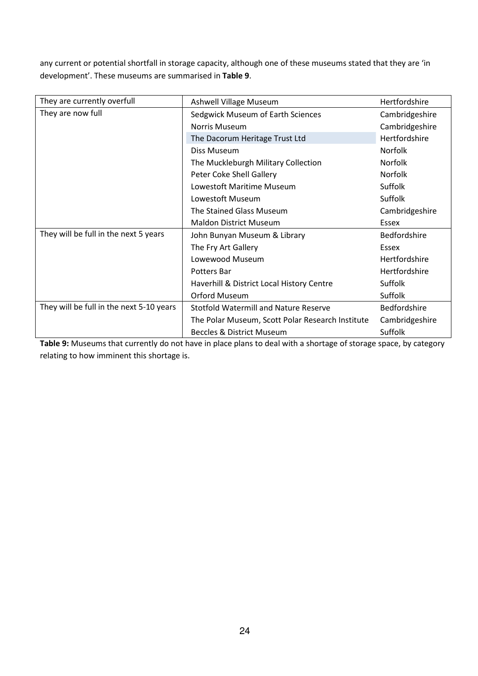any current or potential shortfall in storage capacity, although one of these museums stated that they are 'in development'. These museums are summarised in Table 9.

| They are currently overfull              | Ashwell Village Museum                           | Hertfordshire  |
|------------------------------------------|--------------------------------------------------|----------------|
| They are now full                        | Sedgwick Museum of Earth Sciences                | Cambridgeshire |
|                                          | Norris Museum                                    | Cambridgeshire |
|                                          | The Dacorum Heritage Trust Ltd                   | Hertfordshire  |
|                                          | Diss Museum                                      | <b>Norfolk</b> |
|                                          | The Muckleburgh Military Collection              | Norfolk        |
|                                          | Peter Coke Shell Gallery                         | <b>Norfolk</b> |
|                                          | Lowestoft Maritime Museum                        | Suffolk        |
|                                          | Lowestoft Museum                                 | Suffolk        |
|                                          | The Stained Glass Museum                         | Cambridgeshire |
|                                          | <b>Maldon District Museum</b>                    | Essex          |
| They will be full in the next 5 years    | John Bunyan Museum & Library                     | Bedfordshire   |
|                                          | The Fry Art Gallery                              | Essex          |
|                                          | Lowewood Museum                                  | Hertfordshire  |
|                                          | Potters Bar                                      | Hertfordshire  |
|                                          | Haverhill & District Local History Centre        | <b>Suffolk</b> |
|                                          | <b>Orford Museum</b>                             | Suffolk        |
| They will be full in the next 5-10 years | <b>Stotfold Watermill and Nature Reserve</b>     | Bedfordshire   |
|                                          | The Polar Museum, Scott Polar Research Institute | Cambridgeshire |
|                                          | <b>Beccles &amp; District Museum</b>             | Suffolk        |

Table 9: Museums that currently do not have in place plans to deal with a shortage of storage space, by category relating to how imminent this shortage is.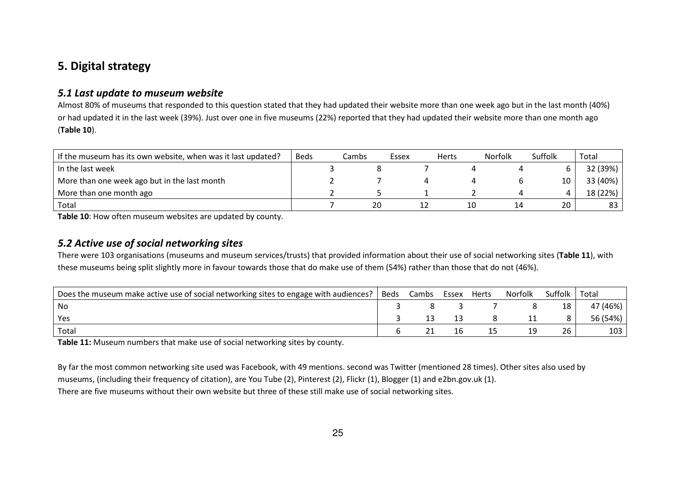# 5. Digital strategy

### 5.1 Last update to museum website

Almost 80% of museums that responded to this question stated that they had updated their website more than one week ago but in the last month (40%) or had updated it in the last week (39%). Just over one in five museums (22%) reported that they had updated their website more than one month ago (Table 10).

| If the museum has its own website, when was it last updated? | <b>Beds</b> | Cambs | Essex | <b>Herts</b> | <b>Norfolk</b> | Suffolk | Total    |
|--------------------------------------------------------------|-------------|-------|-------|--------------|----------------|---------|----------|
| In the last week                                             |             |       |       |              |                |         | 32 (39%) |
| More than one week ago but in the last month                 |             |       |       |              |                |         | 33 (40%) |
| More than one month ago                                      |             |       |       |              |                |         | 18 (22%) |
| Total                                                        |             |       | 20    |              |                | 20      | 83       |

Table 10: How often museum websites are updated by county.

## 5.2 Active use of social networking sites

There were 103 organisations (museums and museum services/trusts) that provided information about their use of social networking sites (Table 11), with these museums being split slightly more in favour towards those that do make use of them (54%) rather than those that do not (46%).

| Does the museum make active use of social networking sites to engage with audiences? | Beds | Cambs | Essex | Herts | Norfolk | Suffolk | Total    |
|--------------------------------------------------------------------------------------|------|-------|-------|-------|---------|---------|----------|
| No                                                                                   |      |       |       |       |         | 18      | 47 (46%) |
| Yes                                                                                  |      |       |       |       |         |         | 56 (54%) |
| Total                                                                                |      |       |       |       | 19      |         | 103      |

Table 11: Museum numbers that make use of social networking sites by county.

By far the most common networking site used was Facebook, with 49 mentions. second was Twitter (mentioned 28 times). Other sites also used by museums, (including their frequency of citation), are You Tube (2), Pinterest (2), Flickr (1), Blogger (1) and e2bn.gov.uk (1). There are five museums without their own website but three of these still make use of social networking sites.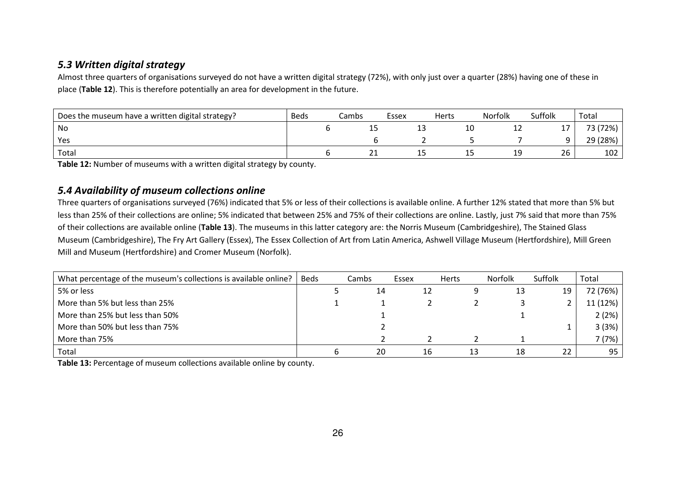## 5.3 Written digital strategy

Almost three quarters of organisations surveyed do not have a written digital strategy (72%), with only just over a quarter (28%) having one of these in place (Table 12). This is therefore potentially an area for development in the future.

| Does the museum have a written digital strategy? | <b>Beds</b> | Cambs | Essex | Herts | <b>Norfolk</b> | Suffolk  | Total    |
|--------------------------------------------------|-------------|-------|-------|-------|----------------|----------|----------|
| No                                               |             | ᅩ     | ᅩ     | 10    | --             | 17       | 73 (72%) |
| Yes                                              |             |       |       |       |                | $\Omega$ | 29 (28%) |
| Total                                            |             | ∠⊥    | --    | ب ک   | --             | 26       | 102      |

Table 12: Number of museums with a written digital strategy by county.

### 5.4 Availability of museum collections online

Three quarters of organisations surveyed (76%) indicated that 5% or less of their collections is available online. A further 12% stated that more than 5% but less than 25% of their collections are online; 5% indicated that between 25% and 75% of their collections are online. Lastly, just 7% said that more than 75% of their collections are available online (Table 13). The museums in this latter category are: the Norris Museum (Cambridgeshire), The Stained Glass Museum (Cambridgeshire), The Fry Art Gallery (Essex), The Essex Collection of Art from Latin America, Ashwell Village Museum (Hertfordshire), Mill Green Mill and Museum (Hertfordshire) and Cromer Museum (Norfolk).

| What percentage of the museum's collections is available online? | Beds | Cambs | Essex |    | <b>Herts</b> | <b>Norfolk</b> | Suffolk | Total    |
|------------------------------------------------------------------|------|-------|-------|----|--------------|----------------|---------|----------|
| 5% or less                                                       |      | 14    |       | 12 |              | 13             | 19      | 72 (76%) |
| More than 5% but less than 25%                                   |      |       |       |    |              |                | ∸       | 11 (12%) |
| More than 25% but less than 50%                                  |      |       |       |    |              |                |         | 2(2%)    |
| More than 50% but less than 75%                                  |      |       |       |    |              |                |         | 3 (3%)   |
| More than 75%                                                    |      |       |       |    |              |                |         | 7 (7%)   |
| Total                                                            |      | 20    |       | 16 |              | 18             | 22      | 95       |

Table 13: Percentage of museum collections available online by county.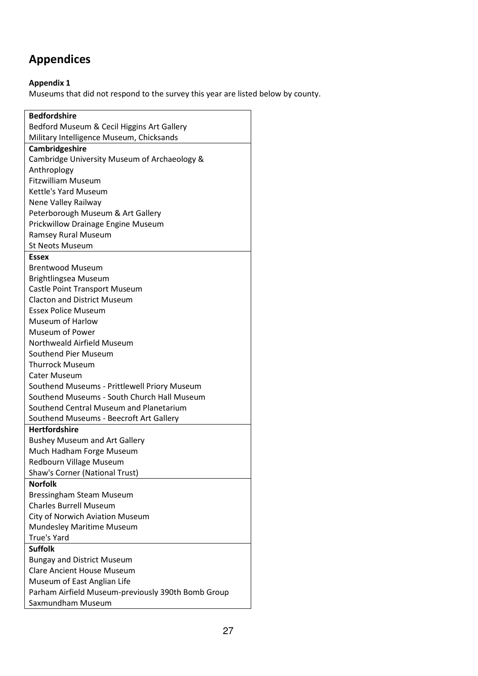# Appendices

## Appendix 1

Museums that did not respond to the survey this year are listed below by county.

| <b>Bedfordshire</b>                                |  |  |  |  |  |
|----------------------------------------------------|--|--|--|--|--|
| Bedford Museum & Cecil Higgins Art Gallery         |  |  |  |  |  |
| Military Intelligence Museum, Chicksands           |  |  |  |  |  |
| Cambridgeshire                                     |  |  |  |  |  |
| Cambridge University Museum of Archaeology &       |  |  |  |  |  |
| Anthroplogy                                        |  |  |  |  |  |
| <b>Fitzwilliam Museum</b>                          |  |  |  |  |  |
| Kettle's Yard Museum                               |  |  |  |  |  |
| Nene Valley Railway                                |  |  |  |  |  |
| Peterborough Museum & Art Gallery                  |  |  |  |  |  |
| Prickwillow Drainage Engine Museum                 |  |  |  |  |  |
| Ramsey Rural Museum                                |  |  |  |  |  |
| <b>St Neots Museum</b>                             |  |  |  |  |  |
| <b>Essex</b>                                       |  |  |  |  |  |
| <b>Brentwood Museum</b>                            |  |  |  |  |  |
| Brightlingsea Museum                               |  |  |  |  |  |
| Castle Point Transport Museum                      |  |  |  |  |  |
| <b>Clacton and District Museum</b>                 |  |  |  |  |  |
| <b>Essex Police Museum</b>                         |  |  |  |  |  |
| Museum of Harlow                                   |  |  |  |  |  |
| Museum of Power                                    |  |  |  |  |  |
| Northweald Airfield Museum                         |  |  |  |  |  |
| Southend Pier Museum                               |  |  |  |  |  |
| <b>Thurrock Museum</b>                             |  |  |  |  |  |
| <b>Cater Museum</b>                                |  |  |  |  |  |
| Southend Museums - Prittlewell Priory Museum       |  |  |  |  |  |
| Southend Museums - South Church Hall Museum        |  |  |  |  |  |
| Southend Central Museum and Planetarium            |  |  |  |  |  |
| Southend Museums - Beecroft Art Gallery            |  |  |  |  |  |
| <b>Hertfordshire</b>                               |  |  |  |  |  |
| <b>Bushey Museum and Art Gallery</b>               |  |  |  |  |  |
| Much Hadham Forge Museum                           |  |  |  |  |  |
| Redbourn Village Museum                            |  |  |  |  |  |
| Shaw's Corner (National Trust)                     |  |  |  |  |  |
| <b>Norfolk</b>                                     |  |  |  |  |  |
| <b>Bressingham Steam Museum</b>                    |  |  |  |  |  |
| <b>Charles Burrell Museum</b>                      |  |  |  |  |  |
| <b>City of Norwich Aviation Museum</b>             |  |  |  |  |  |
| <b>Mundesley Maritime Museum</b>                   |  |  |  |  |  |
| True's Yard                                        |  |  |  |  |  |
| <b>Suffolk</b>                                     |  |  |  |  |  |
| <b>Bungay and District Museum</b>                  |  |  |  |  |  |
| <b>Clare Ancient House Museum</b>                  |  |  |  |  |  |
| Museum of East Anglian Life                        |  |  |  |  |  |
| Parham Airfield Museum-previously 390th Bomb Group |  |  |  |  |  |
| Saxmundham Museum                                  |  |  |  |  |  |